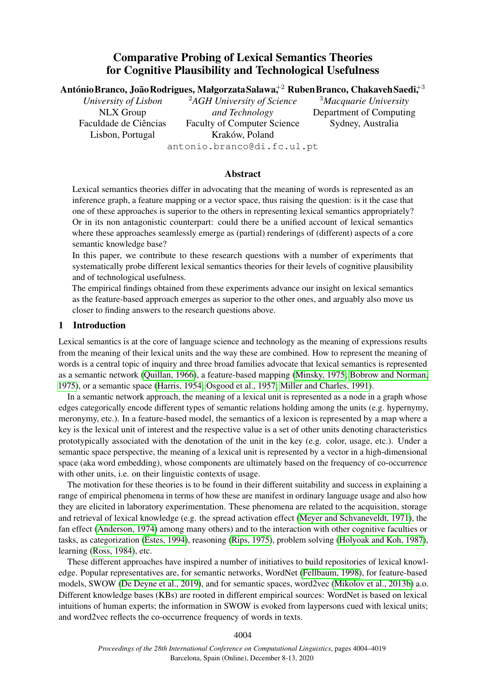# Comparative Probing of Lexical Semantics Theories for Cognitive Plausibility and Technological Usefulness

António<code>Branco</code>, João<code>Rodrigues,</code> Małgorzata<code>Salawa</code> $^{+2}$  <code>RubenBranco,</code> ChakavehSaedi $\ddagger^3$ 

*University of Lisbon* NLX Group Faculdade de Ciências Lisbon, Portugal

<sup>2</sup>*AGH University of Science and Technology* Faculty of Computer Science Kraków, Poland antonio.branco@di.fc.ul.pt

<sup>3</sup>*Macquarie University* Department of Computing Sydney, Australia

# Abstract

Lexical semantics theories differ in advocating that the meaning of words is represented as an inference graph, a feature mapping or a vector space, thus raising the question: is it the case that one of these approaches is superior to the others in representing lexical semantics appropriately? Or in its non antagonistic counterpart: could there be a unified account of lexical semantics where these approaches seamlessly emerge as (partial) renderings of (different) aspects of a core semantic knowledge base?

In this paper, we contribute to these research questions with a number of experiments that systematically probe different lexical semantics theories for their levels of cognitive plausibility and of technological usefulness.

The empirical findings obtained from these experiments advance our insight on lexical semantics as the feature-based approach emerges as superior to the other ones, and arguably also move us closer to finding answers to the research questions above.

# 1 Introduction

Lexical semantics is at the core of language science and technology as the meaning of expressions results from the meaning of their lexical units and the way these are combined. How to represent the meaning of words is a central topic of inquiry and three broad families advocate that lexical semantics is represented as a semantic network [\(Quillan, 1966\)](#page-12-0), a feature-based mapping [\(Minsky, 1975;](#page-11-0) [Bobrow and Norman,](#page-9-0) [1975\)](#page-9-0), or a semantic space [\(Harris, 1954;](#page-11-1) [Osgood et al., 1957;](#page-11-2) [Miller and Charles, 1991\)](#page-11-3).

In a semantic network approach, the meaning of a lexical unit is represented as a node in a graph whose edges categorically encode different types of semantic relations holding among the units (e.g. hypernymy, meronymy, etc.). In a feature-based model, the semantics of a lexicon is represented by a map where a key is the lexical unit of interest and the respective value is a set of other units denoting characteristics prototypically associated with the denotation of the unit in the key (e.g. color, usage, etc.). Under a semantic space perspective, the meaning of a lexical unit is represented by a vector in a high-dimensional space (aka word embedding), whose components are ultimately based on the frequency of co-occurrence with other units, i.e. on their linguistic contexts of usage.

The motivation for these theories is to be found in their different suitability and success in explaining a range of empirical phenomena in terms of how these are manifest in ordinary language usage and also how they are elicited in laboratory experimentation. These phenomena are related to the acquisition, storage and retrieval of lexical knowledge (e.g. the spread activation effect [\(Meyer and Schvaneveldt, 1971\)](#page-11-4), the fan effect [\(Anderson, 1974\)](#page-9-1) among many others) and to the interaction with other cognitive faculties or tasks, as categorization [\(Estes, 1994\)](#page-10-0), reasoning [\(Rips, 1975\)](#page-12-1), problem solving [\(Holyoak and Koh, 1987\)](#page-11-5), learning [\(Ross, 1984\)](#page-12-2), etc.

These different approaches have inspired a number of initiatives to build repositories of lexical knowledge. Popular representatives are, for semantic networks, WordNet [\(Fellbaum, 1998\)](#page-10-1), for feature-based models, SWOW [\(De Deyne et al., 2019\)](#page-10-2), and for semantic spaces, word2vec [\(Mikolov et al., 2013b\)](#page-11-6) a.o. Different knowledge bases (KBs) are rooted in different empirical sources: WordNet is based on lexical intuitions of human experts; the information in SWOW is evoked from laypersons cued with lexical units; and word2vec reflects the co-occurrence frequency of words in texts.

4004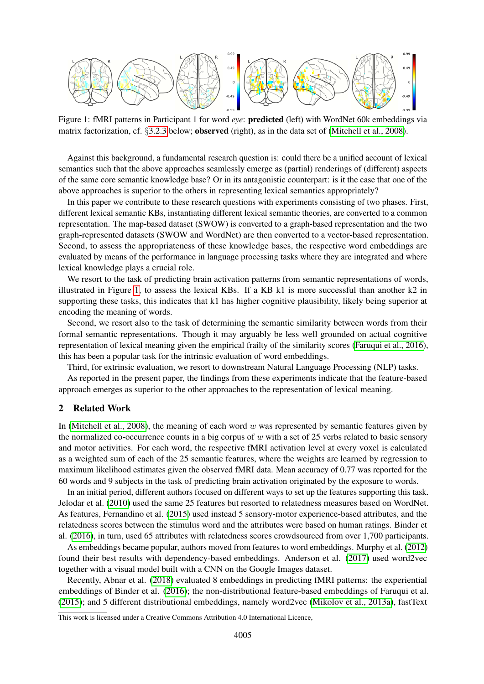

<span id="page-1-0"></span>Figure 1: fMRI patterns in Participant 1 for word *eye*: predicted (left) with WordNet 60k embeddings via matrix factorization, cf. §[3.2.3](#page-3-0) below; observed (right), as in the data set of [\(Mitchell et al., 2008\)](#page-11-7).

Against this background, a fundamental research question is: could there be a unified account of lexical semantics such that the above approaches seamlessly emerge as (partial) renderings of (different) aspects of the same core semantic knowledge base? Or in its antagonistic counterpart: is it the case that one of the above approaches is superior to the others in representing lexical semantics appropriately?

In this paper we contribute to these research questions with experiments consisting of two phases. First, different lexical semantic KBs, instantiating different lexical semantic theories, are converted to a common representation. The map-based dataset (SWOW) is converted to a graph-based representation and the two graph-represented datasets (SWOW and WordNet) are then converted to a vector-based representation. Second, to assess the appropriateness of these knowledge bases, the respective word embeddings are evaluated by means of the performance in language processing tasks where they are integrated and where lexical knowledge plays a crucial role.

We resort to the task of predicting brain activation patterns from semantic representations of words, illustrated in Figure [1,](#page-1-0) to assess the lexical KBs. If a KB k1 is more successful than another k2 in supporting these tasks, this indicates that k1 has higher cognitive plausibility, likely being superior at encoding the meaning of words.

Second, we resort also to the task of determining the semantic similarity between words from their formal semantic representations. Though it may arguably be less well grounded on actual cognitive representation of lexical meaning given the empirical frailty of the similarity scores [\(Faruqui et al., 2016\)](#page-10-3), this has been a popular task for the intrinsic evaluation of word embeddings.

Third, for extrinsic evaluation, we resort to downstream Natural Language Processing (NLP) tasks.

As reported in the present paper, the findings from these experiments indicate that the feature-based approach emerges as superior to the other approaches to the representation of lexical meaning.

# 2 Related Work

In [\(Mitchell et al., 2008\)](#page-11-7), the meaning of each word w was represented by semantic features given by the normalized co-occurrence counts in a big corpus of  $w$  with a set of 25 verbs related to basic sensory and motor activities. For each word, the respective fMRI activation level at every voxel is calculated as a weighted sum of each of the 25 semantic features, where the weights are learned by regression to maximum likelihood estimates given the observed fMRI data. Mean accuracy of 0.77 was reported for the 60 words and 9 subjects in the task of predicting brain activation originated by the exposure to words.

In an initial period, different authors focused on different ways to set up the features supporting this task. Jelodar et al. [\(2010\)](#page-11-8) used the same 25 features but resorted to relatedness measures based on WordNet. As features, Fernandino et al. [\(2015\)](#page-10-4) used instead 5 sensory-motor experience-based attributes, and the relatedness scores between the stimulus word and the attributes were based on human ratings. Binder et al. [\(2016\)](#page-9-2), in turn, used 65 attributes with relatedness scores crowdsourced from over 1,700 participants.

As embeddings became popular, authors moved from features to word embeddings. Murphy et al. [\(2012\)](#page-11-9) found their best results with dependency-based embeddings. Anderson et al. [\(2017\)](#page-9-3) used word2vec together with a visual model built with a CNN on the Google Images dataset.

Recently, Abnar et al. [\(2018\)](#page-9-4) evaluated 8 embeddings in predicting fMRI patterns: the experiential embeddings of Binder et al. [\(2016\)](#page-9-2); the non-distributional feature-based embeddings of Faruqui et al. [\(2015\)](#page-10-5); and 5 different distributional embeddings, namely word2vec [\(Mikolov et al., 2013a\)](#page-11-10), fastText

This work is licensed under a Creative Commons Attribution 4.0 International Licence,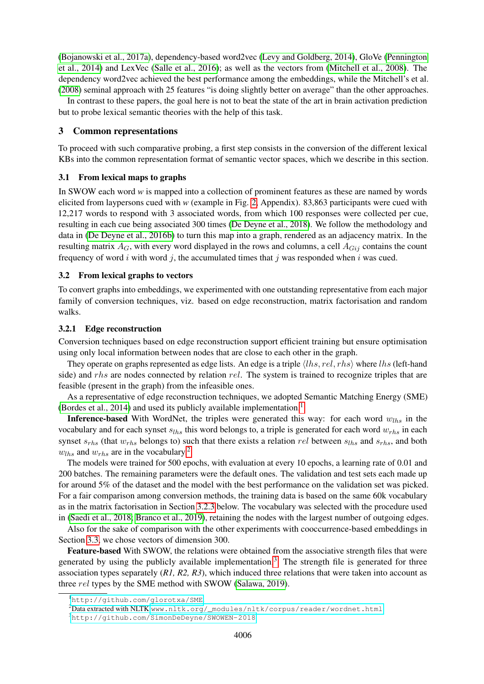[\(Bojanowski et al., 2017a\)](#page-9-5), dependency-based word2vec [\(Levy and Goldberg, 2014\)](#page-11-11), GloVe [\(Pennington](#page-11-12) [et al., 2014\)](#page-11-12) and LexVec [\(Salle et al., 2016\)](#page-12-3); as well as the vectors from [\(Mitchell et al., 2008\)](#page-11-7). The dependency word2vec achieved the best performance among the embeddings, while the Mitchell's et al. [\(2008\)](#page-11-7) seminal approach with 25 features "is doing slightly better on average" than the other approaches.

In contrast to these papers, the goal here is not to beat the state of the art in brain activation prediction but to probe lexical semantic theories with the help of this task.

### <span id="page-2-4"></span>3 Common representations

To proceed with such comparative probing, a first step consists in the conversion of the different lexical KBs into the common representation format of semantic vector spaces, which we describe in this section.

### 3.1 From lexical maps to graphs

In SWOW each word *w* is mapped into a collection of prominent features as these are named by words elicited from laypersons cued with *w* (example in Fig. [2,](#page-13-0) Appendix). 83,863 participants were cued with 12,217 words to respond with 3 associated words, from which 100 responses were collected per cue, resulting in each cue being associated 300 times [\(De Deyne et al., 2018\)](#page-10-6). We follow the methodology and data in [\(De Deyne et al., 2016b\)](#page-10-7) to turn this map into a graph, rendered as an adjacency matrix. In the resulting matrix  $A_G$ , with every word displayed in the rows and columns, a cell  $A_{Gij}$  contains the count frequency of word i with word j, the accumulated times that j was responded when i was cued.

### 3.2 From lexical graphs to vectors

To convert graphs into embeddings, we experimented with one outstanding representative from each major family of conversion techniques, viz. based on edge reconstruction, matrix factorisation and random walks.

### <span id="page-2-3"></span>3.2.1 Edge reconstruction

Conversion techniques based on edge reconstruction support efficient training but ensure optimisation using only local information between nodes that are close to each other in the graph.

They operate on graphs represented as edge lists. An edge is a triple  $\langle lhs, rel, rhs \rangle$  where  $lhs$  (left-hand side) and rhs are nodes connected by relation rel. The system is trained to recognize triples that are feasible (present in the graph) from the infeasible ones.

As a representative of edge reconstruction techniques, we adopted Semantic Matching Energy (SME) [\(Bordes et al., 2014\)](#page-9-6) and used its publicly available implementation.<sup>[1](#page-2-0)</sup>

**Inference-based** With WordNet, the triples were generated this way: for each word  $w_{lhs}$  in the vocabulary and for each synset  $s_{lhs}$  this word belongs to, a triple is generated for each word  $w_{rhs}$  in each synset  $s_{rhs}$  (that  $w_{rhs}$  belongs to) such that there exists a relation rel between  $s_{lhs}$  and  $s_{rhs}$ , and both  $w_{ths}$  and  $w_{ths}$  are in the vocabulary.<sup>[2](#page-2-1)</sup>

The models were trained for 500 epochs, with evaluation at every 10 epochs, a learning rate of 0.01 and 200 batches. The remaining parameters were the default ones. The validation and test sets each made up for around 5% of the dataset and the model with the best performance on the validation set was picked. For a fair comparison among conversion methods, the training data is based on the same 60k vocabulary as in the matrix factorisation in Section [3.2.3](#page-3-0) below. The vocabulary was selected with the procedure used in [\(Saedi et al., 2018;](#page-12-4) [Branco et al., 2019\)](#page-9-7), retaining the nodes with the largest number of outgoing edges.

Also for the sake of comparison with the other experiments with cooccurrence-based embeddings in Section [3.3,](#page-4-0) we chose vectors of dimension 300.

Feature-based With SWOW, the relations were obtained from the associative strength files that were generated by using the publicly available implementation.<sup>[3](#page-2-2)</sup> The strength file is generated for three association types separately (*R1, R2, R3*), which induced three relations that were taken into account as three *rel* types by the SME method with SWOW [\(Salawa, 2019\)](#page-12-5).

<span id="page-2-0"></span><sup>1</sup><http://github.com/glorotxa/SME>.

<span id="page-2-1"></span> $2$ Data extracted with NLTK [www.nltk.org/\\_modules/nltk/corpus/reader/wordnet.html](www.nltk.org/_modules/nltk/corpus/reader/wordnet.html).

<span id="page-2-2"></span><sup>3</sup><http://github.com/SimonDeDeyne/SWOWEN-2018>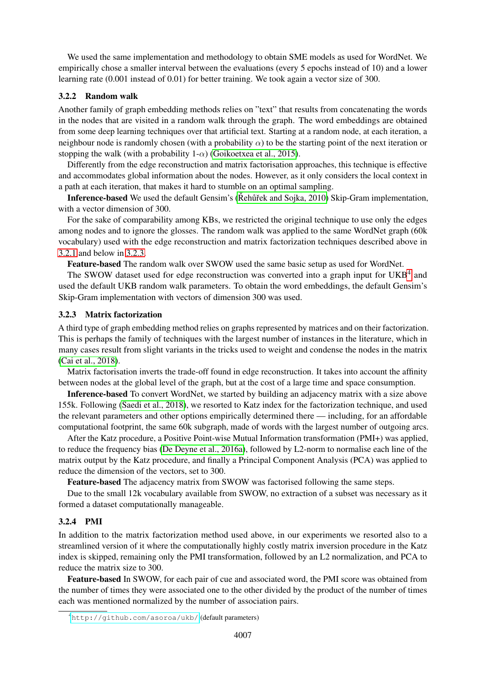We used the same implementation and methodology to obtain SME models as used for WordNet. We empirically chose a smaller interval between the evaluations (every 5 epochs instead of 10) and a lower learning rate (0.001 instead of 0.01) for better training. We took again a vector size of 300.

### 3.2.2 Random walk

Another family of graph embedding methods relies on "text" that results from concatenating the words in the nodes that are visited in a random walk through the graph. The word embeddings are obtained from some deep learning techniques over that artificial text. Starting at a random node, at each iteration, a neighbour node is randomly chosen (with a probability  $\alpha$ ) to be the starting point of the next iteration or stopping the walk (with a probability  $1-\alpha$ ) [\(Goikoetxea et al., 2015\)](#page-11-13).

Differently from the edge reconstruction and matrix factorisation approaches, this technique is effective and accommodates global information about the nodes. However, as it only considers the local context in a path at each iteration, that makes it hard to stumble on an optimal sampling.

Inference-based We used the default Gensim's (Rehurt and Sojka, 2010) Skip-Gram implementation, with a vector dimension of 300.

For the sake of comparability among KBs, we restricted the original technique to use only the edges among nodes and to ignore the glosses. The random walk was applied to the same WordNet graph (60k vocabulary) used with the edge reconstruction and matrix factorization techniques described above in [3.2.1](#page-2-3) and below in [3.2.3.](#page-3-0)

Feature-based The random walk over SWOW used the same basic setup as used for WordNet.

The SWOW dataset used for edge reconstruction was converted into a graph input for  $UKB<sup>4</sup>$  $UKB<sup>4</sup>$  $UKB<sup>4</sup>$  and used the default UKB random walk parameters. To obtain the word embeddings, the default Gensim's Skip-Gram implementation with vectors of dimension 300 was used.

# <span id="page-3-0"></span>3.2.3 Matrix factorization

A third type of graph embedding method relies on graphs represented by matrices and on their factorization. This is perhaps the family of techniques with the largest number of instances in the literature, which in many cases result from slight variants in the tricks used to weight and condense the nodes in the matrix [\(Cai et al., 2018\)](#page-10-8).

Matrix factorisation inverts the trade-off found in edge reconstruction. It takes into account the affinity between nodes at the global level of the graph, but at the cost of a large time and space consumption.

Inference-based To convert WordNet, we started by building an adjacency matrix with a size above 155k. Following [\(Saedi et al., 2018\)](#page-12-4), we resorted to Katz index for the factorization technique, and used the relevant parameters and other options empirically determined there — including, for an affordable computational footprint, the same 60k subgraph, made of words with the largest number of outgoing arcs.

After the Katz procedure, a Positive Point-wise Mutual Information transformation (PMI+) was applied, to reduce the frequency bias [\(De Deyne et al., 2016a\)](#page-10-9), followed by L2-norm to normalise each line of the matrix output by the Katz procedure, and finally a Principal Component Analysis (PCA) was applied to reduce the dimension of the vectors, set to 300.

Feature-based The adjacency matrix from SWOW was factorised following the same steps.

Due to the small 12k vocabulary available from SWOW, no extraction of a subset was necessary as it formed a dataset computationally manageable.

# 3.2.4 PMI

In addition to the matrix factorization method used above, in our experiments we resorted also to a streamlined version of it where the computationally highly costly matrix inversion procedure in the Katz index is skipped, remaining only the PMI transformation, followed by an L2 normalization, and PCA to reduce the matrix size to 300.

Feature-based In SWOW, for each pair of cue and associated word, the PMI score was obtained from the number of times they were associated one to the other divided by the product of the number of times each was mentioned normalized by the number of association pairs.

<span id="page-3-1"></span><sup>4</sup><http://github.com/asoroa/ukb/> (default parameters)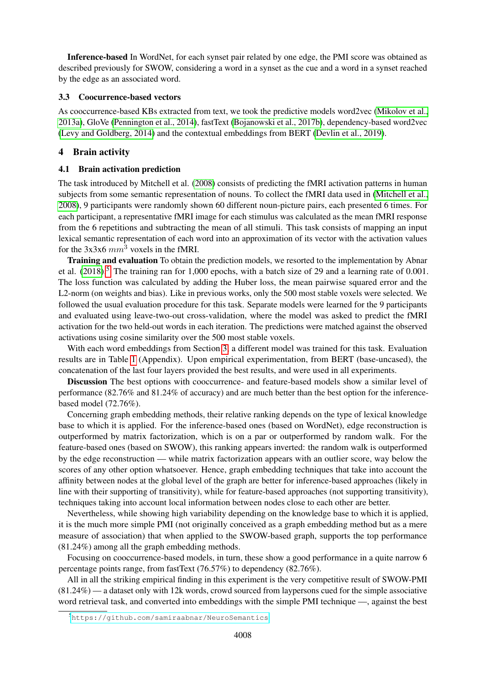Inference-based In WordNet, for each synset pair related by one edge, the PMI score was obtained as described previously for SWOW, considering a word in a synset as the cue and a word in a synset reached by the edge as an associated word.

## <span id="page-4-0"></span>3.3 Coocurrence-based vectors

As cooccurrence-based KBs extracted from text, we took the predictive models word2vec [\(Mikolov et al.,](#page-11-10) [2013a\)](#page-11-10), GloVe [\(Pennington et al., 2014\)](#page-11-12), fastText [\(Bojanowski et al., 2017b\)](#page-9-8), dependency-based word2vec [\(Levy and Goldberg, 2014\)](#page-11-11) and the contextual embeddings from BERT [\(Devlin et al., 2019\)](#page-10-10).

# <span id="page-4-3"></span>4 Brain activity

# <span id="page-4-2"></span>4.1 Brain activation prediction

The task introduced by Mitchell et al. [\(2008\)](#page-11-7) consists of predicting the fMRI activation patterns in human subjects from some semantic representation of nouns. To collect the fMRI data used in [\(Mitchell et al.,](#page-11-7) [2008\)](#page-11-7), 9 participants were randomly shown 60 different noun-picture pairs, each presented 6 times. For each participant, a representative fMRI image for each stimulus was calculated as the mean fMRI response from the 6 repetitions and subtracting the mean of all stimuli. This task consists of mapping an input lexical semantic representation of each word into an approximation of its vector with the activation values for the  $3x3x6$  mm<sup>3</sup> voxels in the fMRI.

Training and evaluation To obtain the prediction models, we resorted to the implementation by Abnar et al.  $(2018)$ .<sup>[5](#page-4-1)</sup> The training ran for 1,000 epochs, with a batch size of 29 and a learning rate of 0.001. The loss function was calculated by adding the Huber loss, the mean pairwise squared error and the L2-norm (on weights and bias). Like in previous works, only the 500 most stable voxels were selected. We followed the usual evaluation procedure for this task. Separate models were learned for the 9 participants and evaluated using leave-two-out cross-validation, where the model was asked to predict the fMRI activation for the two held-out words in each iteration. The predictions were matched against the observed activations using cosine similarity over the 500 most stable voxels.

With each word embeddings from Section [3,](#page-2-4) a different model was trained for this task. Evaluation results are in Table [1](#page-13-1) (Appendix). Upon empirical experimentation, from BERT (base-uncased), the concatenation of the last four layers provided the best results, and were used in all experiments.

Discussion The best options with cooccurrence- and feature-based models show a similar level of performance (82.76% and 81.24% of accuracy) and are much better than the best option for the inferencebased model (72.76%).

Concerning graph embedding methods, their relative ranking depends on the type of lexical knowledge base to which it is applied. For the inference-based ones (based on WordNet), edge reconstruction is outperformed by matrix factorization, which is on a par or outperformed by random walk. For the feature-based ones (based on SWOW), this ranking appears inverted: the random walk is outperformed by the edge reconstruction — while matrix factorization appears with an outlier score, way below the scores of any other option whatsoever. Hence, graph embedding techniques that take into account the affinity between nodes at the global level of the graph are better for inference-based approaches (likely in line with their supporting of transitivity), while for feature-based approaches (not supporting transitivity), techniques taking into account local information between nodes close to each other are better.

Nevertheless, while showing high variability depending on the knowledge base to which it is applied, it is the much more simple PMI (not originally conceived as a graph embedding method but as a mere measure of association) that when applied to the SWOW-based graph, supports the top performance (81.24%) among all the graph embedding methods.

Focusing on cooccurrence-based models, in turn, these show a good performance in a quite narrow 6 percentage points range, from fastText (76.57%) to dependency (82.76%).

All in all the striking empirical finding in this experiment is the very competitive result of SWOW-PMI (81.24%) — a dataset only with 12k words, crowd sourced from laypersons cued for the simple associative word retrieval task, and converted into embeddings with the simple PMI technique —, against the best

<span id="page-4-1"></span><sup>5</sup><https://github.com/samiraabnar/NeuroSemantics>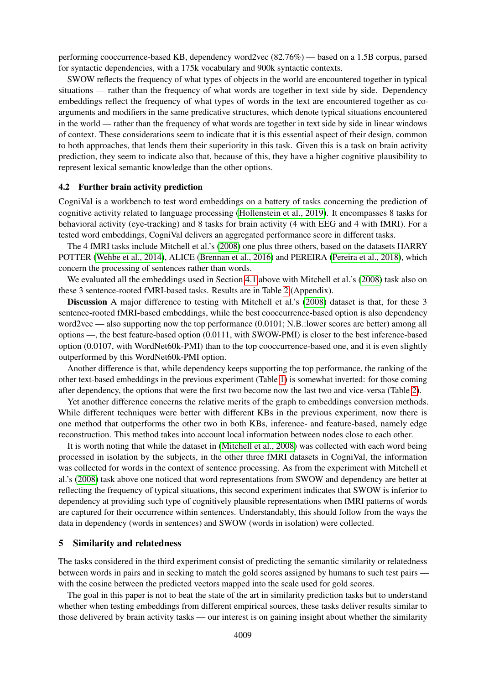performing cooccurrence-based KB, dependency word2vec (82.76%) — based on a 1.5B corpus, parsed for syntactic dependencies, with a 175k vocabulary and 900k syntactic contexts.

SWOW reflects the frequency of what types of objects in the world are encountered together in typical situations — rather than the frequency of what words are together in text side by side. Dependency embeddings reflect the frequency of what types of words in the text are encountered together as coarguments and modifiers in the same predicative structures, which denote typical situations encountered in the world — rather than the frequency of what words are together in text side by side in linear windows of context. These considerations seem to indicate that it is this essential aspect of their design, common to both approaches, that lends them their superiority in this task. Given this is a task on brain activity prediction, they seem to indicate also that, because of this, they have a higher cognitive plausibility to represent lexical semantic knowledge than the other options.

### 4.2 Further brain activity prediction

CogniVal is a workbench to test word embeddings on a battery of tasks concerning the prediction of cognitive activity related to language processing [\(Hollenstein et al., 2019\)](#page-11-14). It encompasses 8 tasks for behavioral activity (eye-tracking) and 8 tasks for brain activity (4 with EEG and 4 with fMRI). For a tested word embeddings, CogniVal delivers an aggregated performance score in different tasks.

The 4 fMRI tasks include Mitchell et al.'s [\(2008\)](#page-11-7) one plus three others, based on the datasets HARRY POTTER [\(Wehbe et al., 2014\)](#page-12-7), ALICE [\(Brennan et al., 2016\)](#page-9-9) and PEREIRA [\(Pereira et al., 2018\)](#page-12-8), which concern the processing of sentences rather than words.

We evaluated all the embeddings used in Section [4.1](#page-4-2) above with Mitchell et al.'s [\(2008\)](#page-11-7) task also on these 3 sentence-rooted fMRI-based tasks. Results are in Table [2](#page-13-2) (Appendix).

Discussion A major difference to testing with Mitchell et al.'s [\(2008\)](#page-11-7) dataset is that, for these 3 sentence-rooted fMRI-based embeddings, while the best cooccurrence-based option is also dependency word2vec — also supporting now the top performance (0.0101; N.B.: lower scores are better) among all options —, the best feature-based option (0.0111, with SWOW-PMI) is closer to the best inference-based option (0.0107, with WordNet60k-PMI) than to the top cooccurrence-based one, and it is even slightly outperformed by this WordNet60k-PMI option.

Another difference is that, while dependency keeps supporting the top performance, the ranking of the other text-based embeddings in the previous experiment (Table [1\)](#page-13-1) is somewhat inverted: for those coming after dependency, the options that were the first two become now the last two and vice-versa (Table [2\)](#page-13-2).

Yet another difference concerns the relative merits of the graph to embeddings conversion methods. While different techniques were better with different KBs in the previous experiment, now there is one method that outperforms the other two in both KBs, inference- and feature-based, namely edge reconstruction. This method takes into account local information between nodes close to each other.

It is worth noting that while the dataset in [\(Mitchell et al., 2008\)](#page-11-7) was collected with each word being processed in isolation by the subjects, in the other three fMRI datasets in CogniVal, the information was collected for words in the context of sentence processing. As from the experiment with Mitchell et al.'s [\(2008\)](#page-11-7) task above one noticed that word representations from SWOW and dependency are better at reflecting the frequency of typical situations, this second experiment indicates that SWOW is inferior to dependency at providing such type of cognitively plausible representations when fMRI patterns of words are captured for their occurrence within sentences. Understandably, this should follow from the ways the data in dependency (words in sentences) and SWOW (words in isolation) were collected.

### <span id="page-5-0"></span>5 Similarity and relatedness

The tasks considered in the third experiment consist of predicting the semantic similarity or relatedness between words in pairs and in seeking to match the gold scores assigned by humans to such test pairs with the cosine between the predicted vectors mapped into the scale used for gold scores.

The goal in this paper is not to beat the state of the art in similarity prediction tasks but to understand whether when testing embeddings from different empirical sources, these tasks deliver results similar to those delivered by brain activity tasks — our interest is on gaining insight about whether the similarity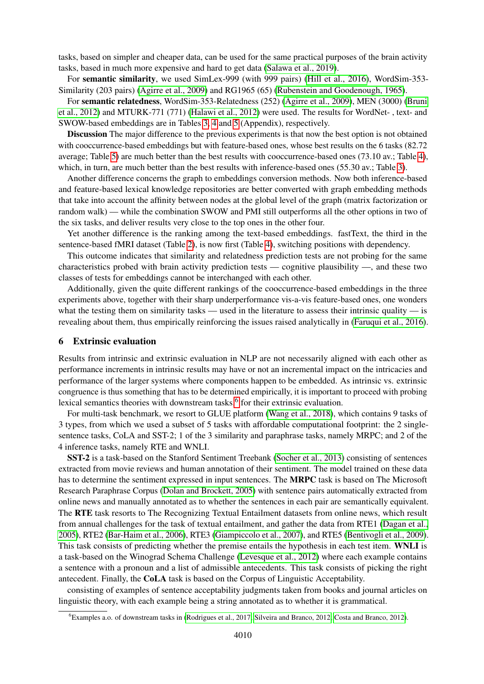tasks, based on simpler and cheaper data, can be used for the same practical purposes of the brain activity tasks, based in much more expensive and hard to get data [\(Salawa et al., 2019\)](#page-12-9).

For semantic similarity, we used SimLex-999 (with 999 pairs) [\(Hill et al., 2016\)](#page-11-15), WordSim-353- Similarity (203 pairs) [\(Agirre et al., 2009\)](#page-9-10) and RG1965 (65) [\(Rubenstein and Goodenough, 1965\)](#page-12-10).

For semantic relatedness, WordSim-353-Relatedness (252) [\(Agirre et al., 2009\)](#page-9-10), MEN (3000) [\(Bruni](#page-10-11) [et al., 2012\)](#page-10-11) and MTURK-771 (771) [\(Halawi et al., 2012\)](#page-11-16) were used. The results for WordNet- , text- and SWOW-based embeddings are in Tables [3,](#page-14-0) [4](#page-14-1) and [5](#page-14-2) (Appendix), respectively.

Discussion The major difference to the previous experiments is that now the best option is not obtained with cooccurrence-based embeddings but with feature-based ones, whose best results on the 6 tasks (82.72 average; Table [5\)](#page-14-2) are much better than the best results with cooccurrence-based ones (73.10 av.; Table [4\)](#page-14-1), which, in turn, are much better than the best results with inference-based ones (55.30 av.; Table [3\)](#page-14-0).

Another difference concerns the graph to embeddings conversion methods. Now both inference-based and feature-based lexical knowledge repositories are better converted with graph embedding methods that take into account the affinity between nodes at the global level of the graph (matrix factorization or random walk) — while the combination SWOW and PMI still outperforms all the other options in two of the six tasks, and deliver results very close to the top ones in the other four.

Yet another difference is the ranking among the text-based embeddings. fastText, the third in the sentence-based fMRI dataset (Table [2\)](#page-13-2), is now first (Table [4\)](#page-14-1), switching positions with dependency.

This outcome indicates that similarity and relatedness prediction tests are not probing for the same characteristics probed with brain activity prediction tests — cognitive plausibility —, and these two classes of tests for embeddings cannot be interchanged with each other.

Additionally, given the quite different rankings of the cooccurrence-based embeddings in the three experiments above, together with their sharp underperformance vis-a-vis feature-based ones, one wonders what the testing them on similarity tasks — used in the literature to assess their intrinsic quality — is revealing about them, thus empirically reinforcing the issues raised analytically in [\(Faruqui et al., 2016\)](#page-10-3).

### 6 Extrinsic evaluation

Results from intrinsic and extrinsic evaluation in NLP are not necessarily aligned with each other as performance increments in intrinsic results may have or not an incremental impact on the intricacies and performance of the larger systems where components happen to be embedded. As intrinsic vs. extrinsic congruence is thus something that has to be determined empirically, it is important to proceed with probing lexical semantics theories with downstream tasks,  $6$  for their extrinsic evaluation.

For multi-task benchmark, we resort to GLUE platform [\(Wang et al., 2018\)](#page-12-11), which contains 9 tasks of 3 types, from which we used a subset of 5 tasks with affordable computational footprint: the 2 singlesentence tasks, CoLA and SST-2; 1 of the 3 similarity and paraphrase tasks, namely MRPC; and 2 of the 4 inference tasks, namely RTE and WNLI.

SST-2 is a task-based on the Stanford Sentiment Treebank [\(Socher et al., 2013\)](#page-12-12) consisting of sentences extracted from movie reviews and human annotation of their sentiment. The model trained on these data has to determine the sentiment expressed in input sentences. The MRPC task is based on The Microsoft Research Paraphrase Corpus [\(Dolan and Brockett, 2005\)](#page-10-12) with sentence pairs automatically extracted from online news and manually annotated as to whether the sentences in each pair are semantically equivalent. The RTE task resorts to The Recognizing Textual Entailment datasets from online news, which result from annual challenges for the task of textual entailment, and gather the data from RTE1 [\(Dagan et al.,](#page-10-13) [2005\)](#page-10-13), RTE2 [\(Bar-Haim et al., 2006\)](#page-9-11), RTE3 [\(Giampiccolo et al., 2007\)](#page-11-17), and RTE5 [\(Bentivogli et al., 2009\)](#page-9-12). This task consists of predicting whether the premise entails the hypothesis in each test item. WNLI is a task-based on the Winograd Schema Challenge [\(Levesque et al., 2012\)](#page-11-18) where each example contains a sentence with a pronoun and a list of admissible antecedents. This task consists of picking the right antecedent. Finally, the CoLA task is based on the Corpus of Linguistic Acceptability.

consisting of examples of sentence acceptability judgments taken from books and journal articles on linguistic theory, with each example being a string annotated as to whether it is grammatical.

<span id="page-6-0"></span><sup>6</sup>Examples a.o. of downstream tasks in [\(Rodrigues et al., 2017;](#page-12-13) [Silveira and Branco, 2012;](#page-12-14) [Costa and Branco, 2012\)](#page-10-14).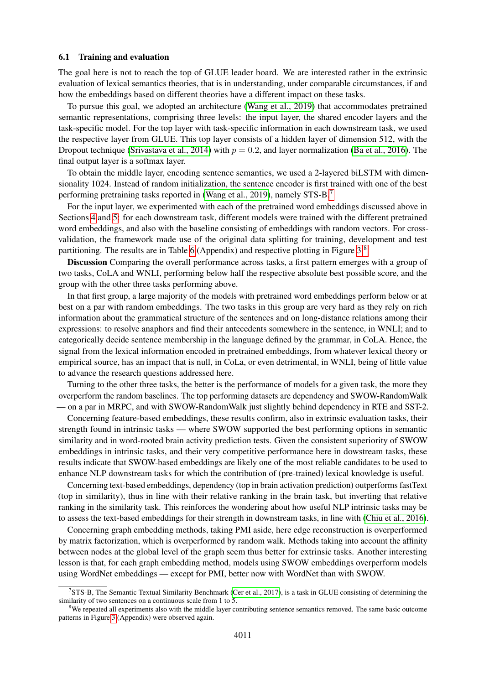### 6.1 Training and evaluation

The goal here is not to reach the top of GLUE leader board. We are interested rather in the extrinsic evaluation of lexical semantics theories, that is in understanding, under comparable circumstances, if and how the embeddings based on different theories have a different impact on these tasks.

To pursue this goal, we adopted an architecture [\(Wang et al., 2019\)](#page-12-15) that accommodates pretrained semantic representations, comprising three levels: the input layer, the shared encoder layers and the task-specific model. For the top layer with task-specific information in each downstream task, we used the respective layer from GLUE. This top layer consists of a hidden layer of dimension 512, with the Dropout technique [\(Srivastava et al., 2014\)](#page-12-16) with  $p = 0.2$ , and layer normalization [\(Ba et al., 2016\)](#page-9-13). The final output layer is a softmax layer.

To obtain the middle layer, encoding sentence semantics, we used a 2-layered biLSTM with dimensionality 1024. Instead of random initialization, the sentence encoder is first trained with one of the best performing pretraining tasks reported in [\(Wang et al., 2019\)](#page-12-15), namely STS-B.<sup>[7](#page-7-0)</sup>

For the input layer, we experimented with each of the pretrained word embeddings discussed above in Sections [4](#page-4-3) and [5:](#page-5-0) for each downstream task, different models were trained with the different pretrained word embeddings, and also with the baseline consisting of embeddings with random vectors. For crossvalidation, the framework made use of the original data splitting for training, development and test partitioning. The results are in Table [6](#page-15-0) (Appendix) and respective plotting in Figure [3.](#page-15-1)[8](#page-7-1)

Discussion Comparing the overall performance across tasks, a first pattern emerges with a group of two tasks, CoLA and WNLI, performing below half the respective absolute best possible score, and the group with the other three tasks performing above.

In that first group, a large majority of the models with pretrained word embeddings perform below or at best on a par with random embeddings. The two tasks in this group are very hard as they rely on rich information about the grammatical structure of the sentences and on long-distance relations among their expressions: to resolve anaphors and find their antecedents somewhere in the sentence, in WNLI; and to categorically decide sentence membership in the language defined by the grammar, in CoLA. Hence, the signal from the lexical information encoded in pretrained embeddings, from whatever lexical theory or empirical source, has an impact that is null, in CoLa, or even detrimental, in WNLI, being of little value to advance the research questions addressed here.

Turning to the other three tasks, the better is the performance of models for a given task, the more they overperform the random baselines. The top performing datasets are dependency and SWOW-RandomWalk — on a par in MRPC, and with SWOW-RandomWalk just slightly behind dependency in RTE and SST-2.

Concerning feature-based embeddings, these results confirm, also in extrinsic evaluation tasks, their strength found in intrinsic tasks — where SWOW supported the best performing options in semantic similarity and in word-rooted brain activity prediction tests. Given the consistent superiority of SWOW embeddings in intrinsic tasks, and their very competitive performance here in dowstream tasks, these results indicate that SWOW-based embeddings are likely one of the most reliable candidates to be used to enhance NLP downstream tasks for which the contribution of (pre-trained) lexical knowledge is useful.

Concerning text-based embeddings, dependency (top in brain activation prediction) outperforms fastText (top in similarity), thus in line with their relative ranking in the brain task, but inverting that relative ranking in the similarity task. This reinforces the wondering about how useful NLP intrinsic tasks may be to assess the text-based embeddings for their strength in downstream tasks, in line with [\(Chiu et al., 2016\)](#page-10-15).

Concerning graph embedding methods, taking PMI aside, here edge reconstruction is overperformed by matrix factorization, which is overperformed by random walk. Methods taking into account the affinity between nodes at the global level of the graph seem thus better for extrinsic tasks. Another interesting lesson is that, for each graph embedding method, models using SWOW embeddings overperform models using WordNet embeddings — except for PMI, better now with WordNet than with SWOW.

<span id="page-7-0"></span><sup>7</sup> STS-B, The Semantic Textual Similarity Benchmark [\(Cer et al., 2017\)](#page-10-16), is a task in GLUE consisting of determining the similarity of two sentences on a continuous scale from 1 to 5.

<span id="page-7-1"></span> $8$ We repeated all experiments also with the middle layer contributing sentence semantics removed. The same basic outcome patterns in Figure [3](#page-15-1) (Appendix) were observed again.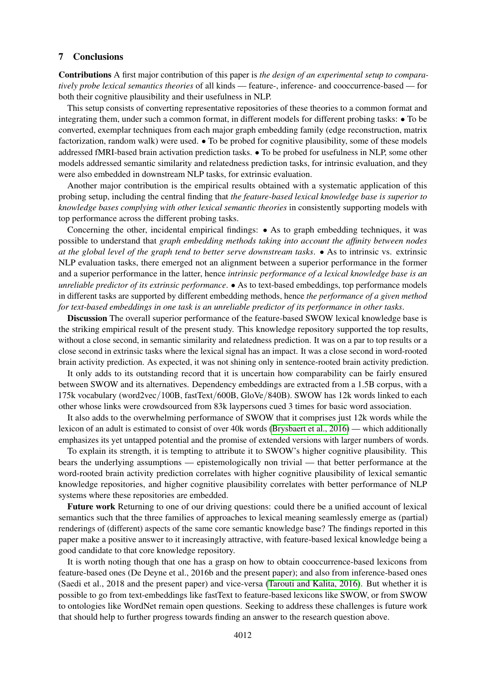### 7 Conclusions

Contributions A first major contribution of this paper is *the design of an experimental setup to comparatively probe lexical semantics theories* of all kinds — feature-, inference- and cooccurrence-based — for both their cognitive plausibility and their usefulness in NLP.

This setup consists of converting representative repositories of these theories to a common format and integrating them, under such a common format, in different models for different probing tasks: • To be converted, exemplar techniques from each major graph embedding family (edge reconstruction, matrix factorization, random walk) were used. • To be probed for cognitive plausibility, some of these models addressed fMRI-based brain activation prediction tasks. • To be probed for usefulness in NLP, some other models addressed semantic similarity and relatedness prediction tasks, for intrinsic evaluation, and they were also embedded in downstream NLP tasks, for extrinsic evaluation.

Another major contribution is the empirical results obtained with a systematic application of this probing setup, including the central finding that *the feature-based lexical knowledge base is superior to knowledge bases complying with other lexical semantic theories* in consistently supporting models with top performance across the different probing tasks.

Concerning the other, incidental empirical findings: • As to graph embedding techniques, it was possible to understand that *graph embedding methods taking into account the affinity between nodes at the global level of the graph tend to better serve downstream tasks*. • As to intrinsic vs. extrinsic NLP evaluation tasks, there emerged not an alignment between a superior performance in the former and a superior performance in the latter, hence *intrinsic performance of a lexical knowledge base is an unreliable predictor of its extrinsic performance*. • As to text-based embeddings, top performance models in different tasks are supported by different embedding methods, hence *the performance of a given method for text-based embeddings in one task is an unreliable predictor of its performance in other tasks*.

Discussion The overall superior performance of the feature-based SWOW lexical knowledge base is the striking empirical result of the present study. This knowledge repository supported the top results, without a close second, in semantic similarity and relatedness prediction. It was on a par to top results or a close second in extrinsic tasks where the lexical signal has an impact. It was a close second in word-rooted brain activity prediction. As expected, it was not shining only in sentence-rooted brain activity prediction.

It only adds to its outstanding record that it is uncertain how comparability can be fairly ensured between SWOW and its alternatives. Dependency embeddings are extracted from a 1.5B corpus, with a 175k vocabulary (word2vec/100B, fastText/600B, GloVe/840B). SWOW has 12k words linked to each other whose links were crowdsourced from 83k laypersons cued 3 times for basic word association.

It also adds to the overwhelming performance of SWOW that it comprises just 12k words while the lexicon of an adult is estimated to consist of over 40k words [\(Brysbaert et al., 2016\)](#page-10-17) — which additionally emphasizes its yet untapped potential and the promise of extended versions with larger numbers of words.

To explain its strength, it is tempting to attribute it to SWOW's higher cognitive plausibility. This bears the underlying assumptions — epistemologically non trivial — that better performance at the word-rooted brain activity prediction correlates with higher cognitive plausibility of lexical semantic knowledge repositories, and higher cognitive plausibility correlates with better performance of NLP systems where these repositories are embedded.

Future work Returning to one of our driving questions: could there be a unified account of lexical semantics such that the three families of approaches to lexical meaning seamlessly emerge as (partial) renderings of (different) aspects of the same core semantic knowledge base? The findings reported in this paper make a positive answer to it increasingly attractive, with feature-based lexical knowledge being a good candidate to that core knowledge repository.

It is worth noting though that one has a grasp on how to obtain cooccurrence-based lexicons from feature-based ones (De Deyne et al., 2016b and the present paper); and also from inference-based ones (Saedi et al., 2018 and the present paper) and vice-versa [\(Tarouti and Kalita, 2016\)](#page-12-17). But whether it is possible to go from text-embeddings like fastText to feature-based lexicons like SWOW, or from SWOW to ontologies like WordNet remain open questions. Seeking to address these challenges is future work that should help to further progress towards finding an answer to the research question above.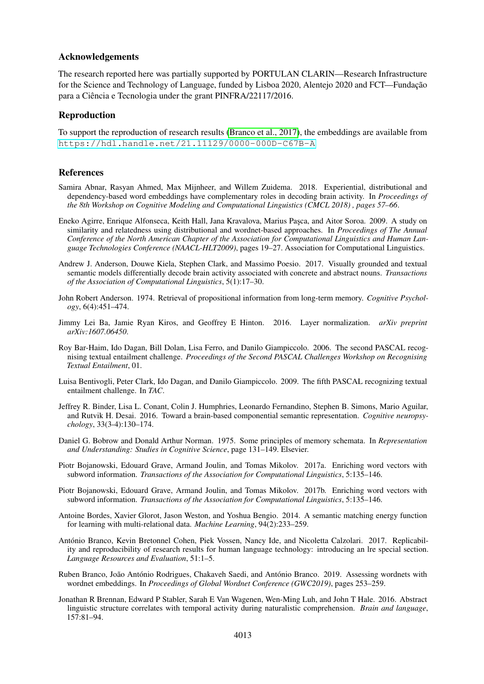### Acknowledgements

The research reported here was partially supported by PORTULAN CLARIN—Research Infrastructure for the Science and Technology of Language, funded by Lisboa 2020, Alentejo 2020 and FCT—Fundação para a Ciência e Tecnologia under the grant PINFRA/22117/2016.

# Reproduction

To support the reproduction of research results [\(Branco et al., 2017\)](#page-9-14), the embeddings are available from [https://hdl.handle.net/21.11129/0000-000D-C67B-A](https://hdl.handle.net/21.11129/0000-000D-C67B-A )

### References

- <span id="page-9-4"></span>Samira Abnar, Rasyan Ahmed, Max Mijnheer, and Willem Zuidema. 2018. Experiential, distributional and dependency-based word embeddings have complementary roles in decoding brain activity. In *Proceedings of the 8th Workshop on Cognitive Modeling and Computational Linguistics (CMCL 2018) , pages 57–66*.
- <span id="page-9-10"></span>Eneko Agirre, Enrique Alfonseca, Keith Hall, Jana Kravalova, Marius Pasca, and Aitor Soroa. 2009. A study on similarity and relatedness using distributional and wordnet-based approaches. In *Proceedings of The Annual Conference of the North American Chapter of the Association for Computational Linguistics and Human Language Technologies Conference (NAACL-HLT2009)*, pages 19–27. Association for Computational Linguistics.
- <span id="page-9-3"></span>Andrew J. Anderson, Douwe Kiela, Stephen Clark, and Massimo Poesio. 2017. Visually grounded and textual semantic models differentially decode brain activity associated with concrete and abstract nouns. *Transactions of the Association of Computational Linguistics*, 5(1):17–30.
- <span id="page-9-1"></span>John Robert Anderson. 1974. Retrieval of propositional information from long-term memory. *Cognitive Psychology*, 6(4):451–474.
- <span id="page-9-13"></span>Jimmy Lei Ba, Jamie Ryan Kiros, and Geoffrey E Hinton. 2016. Layer normalization. *arXiv preprint arXiv:1607.06450*.
- <span id="page-9-11"></span>Roy Bar-Haim, Ido Dagan, Bill Dolan, Lisa Ferro, and Danilo Giampiccolo. 2006. The second PASCAL recognising textual entailment challenge. *Proceedings of the Second PASCAL Challenges Workshop on Recognising Textual Entailment*, 01.
- <span id="page-9-12"></span>Luisa Bentivogli, Peter Clark, Ido Dagan, and Danilo Giampiccolo. 2009. The fifth PASCAL recognizing textual entailment challenge. In *TAC*.
- <span id="page-9-2"></span>Jeffrey R. Binder, Lisa L. Conant, Colin J. Humphries, Leonardo Fernandino, Stephen B. Simons, Mario Aguilar, and Rutvik H. Desai. 2016. Toward a brain-based componential semantic representation. *Cognitive neuropsychology*, 33(3-4):130–174.
- <span id="page-9-0"></span>Daniel G. Bobrow and Donald Arthur Norman. 1975. Some principles of memory schemata. In *Representation and Understanding: Studies in Cognitive Science*, page 131–149. Elsevier.
- <span id="page-9-5"></span>Piotr Bojanowski, Edouard Grave, Armand Joulin, and Tomas Mikolov. 2017a. Enriching word vectors with subword information. *Transactions of the Association for Computational Linguistics*, 5:135–146.
- <span id="page-9-8"></span>Piotr Bojanowski, Edouard Grave, Armand Joulin, and Tomas Mikolov. 2017b. Enriching word vectors with subword information. *Transactions of the Association for Computational Linguistics*, 5:135–146.
- <span id="page-9-6"></span>Antoine Bordes, Xavier Glorot, Jason Weston, and Yoshua Bengio. 2014. A semantic matching energy function for learning with multi-relational data. *Machine Learning*, 94(2):233–259.
- <span id="page-9-14"></span>Antonio Branco, Kevin Bretonnel Cohen, Piek Vossen, Nancy Ide, and Nicoletta Calzolari. 2017. Replicabil- ´ ity and reproducibility of research results for human language technology: introducing an lre special section. *Language Resources and Evaluation*, 51:1–5.
- <span id="page-9-7"></span>Ruben Branco, João António Rodrigues, Chakaveh Saedi, and António Branco. 2019. Assessing wordnets with wordnet embeddings. In *Proceedings of Global Wordnet Conference (GWC2019)*, pages 253–259.
- <span id="page-9-9"></span>Jonathan R Brennan, Edward P Stabler, Sarah E Van Wagenen, Wen-Ming Luh, and John T Hale. 2016. Abstract linguistic structure correlates with temporal activity during naturalistic comprehension. *Brain and language*, 157:81–94.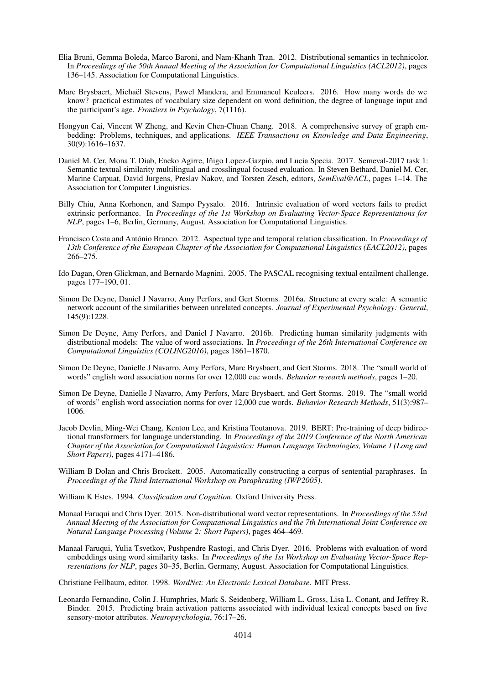- <span id="page-10-11"></span>Elia Bruni, Gemma Boleda, Marco Baroni, and Nam-Khanh Tran. 2012. Distributional semantics in technicolor. In *Proceedings of the 50th Annual Meeting of the Association for Computational Linguistics (ACL2012)*, pages 136–145. Association for Computational Linguistics.
- <span id="page-10-17"></span>Marc Brysbaert, Michaël Stevens, Pawel Mandera, and Emmaneul Keuleers. 2016. How many words do we know? practical estimates of vocabulary size dependent on word definition, the degree of language input and the participant's age. *Frontiers in Psychology*, 7(1116).
- <span id="page-10-8"></span>Hongyun Cai, Vincent W Zheng, and Kevin Chen-Chuan Chang. 2018. A comprehensive survey of graph embedding: Problems, techniques, and applications. *IEEE Transactions on Knowledge and Data Engineering*, 30(9):1616–1637.
- <span id="page-10-16"></span>Daniel M. Cer, Mona T. Diab, Eneko Agirre, Iñigo Lopez-Gazpio, and Lucia Specia. 2017. Semeval-2017 task 1: Semantic textual similarity multilingual and crosslingual focused evaluation. In Steven Bethard, Daniel M. Cer, Marine Carpuat, David Jurgens, Preslav Nakov, and Torsten Zesch, editors, *SemEval@ACL*, pages 1–14. The Association for Computer Linguistics.
- <span id="page-10-15"></span>Billy Chiu, Anna Korhonen, and Sampo Pyysalo. 2016. Intrinsic evaluation of word vectors fails to predict extrinsic performance. In *Proceedings of the 1st Workshop on Evaluating Vector-Space Representations for NLP*, pages 1–6, Berlin, Germany, August. Association for Computational Linguistics.
- <span id="page-10-14"></span>Francisco Costa and António Branco. 2012. Aspectual type and temporal relation classification. In *Proceedings of 13th Conference of the European Chapter of the Association for Computational Linguistics (EACL2012)*, pages 266–275.
- <span id="page-10-13"></span>Ido Dagan, Oren Glickman, and Bernardo Magnini. 2005. The PASCAL recognising textual entailment challenge. pages 177–190, 01.
- <span id="page-10-9"></span>Simon De Deyne, Daniel J Navarro, Amy Perfors, and Gert Storms. 2016a. Structure at every scale: A semantic network account of the similarities between unrelated concepts. *Journal of Experimental Psychology: General*, 145(9):1228.
- <span id="page-10-7"></span>Simon De Deyne, Amy Perfors, and Daniel J Navarro. 2016b. Predicting human similarity judgments with distributional models: The value of word associations. In *Proceedings of the 26th International Conference on Computational Linguistics (COLING2016)*, pages 1861–1870.
- <span id="page-10-6"></span>Simon De Deyne, Danielle J Navarro, Amy Perfors, Marc Brysbaert, and Gert Storms. 2018. The "small world of words" english word association norms for over 12,000 cue words. *Behavior research methods*, pages 1–20.
- <span id="page-10-2"></span>Simon De Deyne, Danielle J Navarro, Amy Perfors, Marc Brysbaert, and Gert Storms. 2019. The "small world of words" english word association norms for over 12,000 cue words. *Behavior Research Methods*, 51(3):987– 1006.
- <span id="page-10-10"></span>Jacob Devlin, Ming-Wei Chang, Kenton Lee, and Kristina Toutanova. 2019. BERT: Pre-training of deep bidirectional transformers for language understanding. In *Proceedings of the 2019 Conference of the North American Chapter of the Association for Computational Linguistics: Human Language Technologies, Volume 1 (Long and Short Papers)*, pages 4171–4186.
- <span id="page-10-12"></span>William B Dolan and Chris Brockett. 2005. Automatically constructing a corpus of sentential paraphrases. In *Proceedings of the Third International Workshop on Paraphrasing (IWP2005)*.

<span id="page-10-0"></span>William K Estes. 1994. *Classification and Cognition*. Oxford University Press.

- <span id="page-10-5"></span>Manaal Faruqui and Chris Dyer. 2015. Non-distributional word vector representations. In *Proceedings of the 53rd Annual Meeting of the Association for Computational Linguistics and the 7th International Joint Conference on Natural Language Processing (Volume 2: Short Papers)*, pages 464–469.
- <span id="page-10-3"></span>Manaal Faruqui, Yulia Tsvetkov, Pushpendre Rastogi, and Chris Dyer. 2016. Problems with evaluation of word embeddings using word similarity tasks. In *Proceedings of the 1st Workshop on Evaluating Vector-Space Representations for NLP*, pages 30–35, Berlin, Germany, August. Association for Computational Linguistics.

<span id="page-10-1"></span>Christiane Fellbaum, editor. 1998. *WordNet: An Electronic Lexical Database*. MIT Press.

<span id="page-10-4"></span>Leonardo Fernandino, Colin J. Humphries, Mark S. Seidenberg, William L. Gross, Lisa L. Conant, and Jeffrey R. Binder. 2015. Predicting brain activation patterns associated with individual lexical concepts based on five sensory-motor attributes. *Neuropsychologia*, 76:17–26.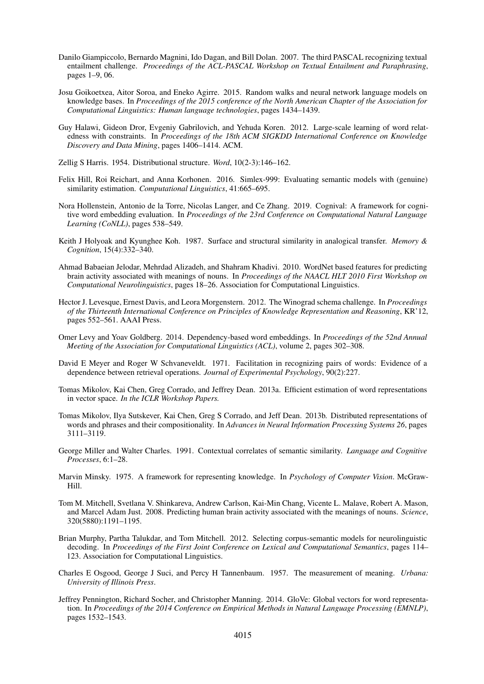- <span id="page-11-17"></span>Danilo Giampiccolo, Bernardo Magnini, Ido Dagan, and Bill Dolan. 2007. The third PASCAL recognizing textual entailment challenge. *Proceedings of the ACL-PASCAL Workshop on Textual Entailment and Paraphrasing*, pages 1–9, 06.
- <span id="page-11-13"></span>Josu Goikoetxea, Aitor Soroa, and Eneko Agirre. 2015. Random walks and neural network language models on knowledge bases. In *Proceedings of the 2015 conference of the North American Chapter of the Association for Computational Linguistics: Human language technologies*, pages 1434–1439.
- <span id="page-11-16"></span>Guy Halawi, Gideon Dror, Evgeniy Gabrilovich, and Yehuda Koren. 2012. Large-scale learning of word relatedness with constraints. In *Proceedings of the 18th ACM SIGKDD International Conference on Knowledge Discovery and Data Mining*, pages 1406–1414. ACM.
- <span id="page-11-1"></span>Zellig S Harris. 1954. Distributional structure. *Word*, 10(2-3):146–162.
- <span id="page-11-15"></span>Felix Hill, Roi Reichart, and Anna Korhonen. 2016. Simlex-999: Evaluating semantic models with (genuine) similarity estimation. *Computational Linguistics*, 41:665–695.
- <span id="page-11-14"></span>Nora Hollenstein, Antonio de la Torre, Nicolas Langer, and Ce Zhang. 2019. Cognival: A framework for cognitive word embedding evaluation. In *Proceedings of the 23rd Conference on Computational Natural Language Learning (CoNLL)*, pages 538–549.
- <span id="page-11-5"></span>Keith J Holyoak and Kyunghee Koh. 1987. Surface and structural similarity in analogical transfer. *Memory & Cognition*, 15(4):332–340.
- <span id="page-11-8"></span>Ahmad Babaeian Jelodar, Mehrdad Alizadeh, and Shahram Khadivi. 2010. WordNet based features for predicting brain activity associated with meanings of nouns. In *Proceedings of the NAACL HLT 2010 First Workshop on Computational Neurolinguistics*, pages 18–26. Association for Computational Linguistics.
- <span id="page-11-18"></span>Hector J. Levesque, Ernest Davis, and Leora Morgenstern. 2012. The Winograd schema challenge. In *Proceedings of the Thirteenth International Conference on Principles of Knowledge Representation and Reasoning*, KR'12, pages 552–561. AAAI Press.
- <span id="page-11-11"></span>Omer Levy and Yoav Goldberg. 2014. Dependency-based word embeddings. In *Proceedings of the 52nd Annual Meeting of the Association for Computational Linguistics (ACL)*, volume 2, pages 302–308.
- <span id="page-11-4"></span>David E Meyer and Roger W Schvaneveldt. 1971. Facilitation in recognizing pairs of words: Evidence of a dependence between retrieval operations. *Journal of Experimental Psychology*, 90(2):227.
- <span id="page-11-10"></span>Tomas Mikolov, Kai Chen, Greg Corrado, and Jeffrey Dean. 2013a. Efficient estimation of word representations in vector space. *In the ICLR Workshop Papers.*
- <span id="page-11-6"></span>Tomas Mikolov, Ilya Sutskever, Kai Chen, Greg S Corrado, and Jeff Dean. 2013b. Distributed representations of words and phrases and their compositionality. In *Advances in Neural Information Processing Systems 26*, pages 3111–3119.
- <span id="page-11-3"></span>George Miller and Walter Charles. 1991. Contextual correlates of semantic similarity. *Language and Cognitive Processes*, 6:1–28.
- <span id="page-11-0"></span>Marvin Minsky. 1975. A framework for representing knowledge. In *Psychology of Computer Vision*. McGraw-Hill.
- <span id="page-11-7"></span>Tom M. Mitchell, Svetlana V. Shinkareva, Andrew Carlson, Kai-Min Chang, Vicente L. Malave, Robert A. Mason, and Marcel Adam Just. 2008. Predicting human brain activity associated with the meanings of nouns. *Science*, 320(5880):1191–1195.
- <span id="page-11-9"></span>Brian Murphy, Partha Talukdar, and Tom Mitchell. 2012. Selecting corpus-semantic models for neurolinguistic decoding. In *Proceedings of the First Joint Conference on Lexical and Computational Semantics*, pages 114– 123. Association for Computational Linguistics.
- <span id="page-11-2"></span>Charles E Osgood, George J Suci, and Percy H Tannenbaum. 1957. The measurement of meaning. *Urbana: University of Illinois Press*.
- <span id="page-11-12"></span>Jeffrey Pennington, Richard Socher, and Christopher Manning. 2014. GloVe: Global vectors for word representation. In *Proceedings of the 2014 Conference on Empirical Methods in Natural Language Processing (EMNLP)*, pages 1532–1543.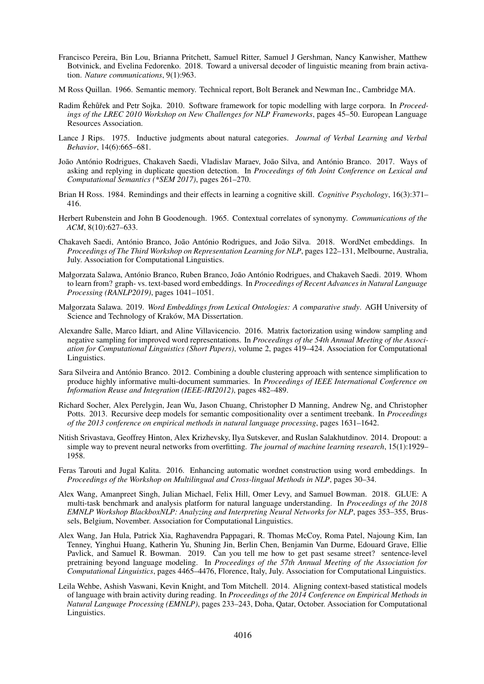- <span id="page-12-8"></span>Francisco Pereira, Bin Lou, Brianna Pritchett, Samuel Ritter, Samuel J Gershman, Nancy Kanwisher, Matthew Botvinick, and Evelina Fedorenko. 2018. Toward a universal decoder of linguistic meaning from brain activation. *Nature communications*, 9(1):963.
- <span id="page-12-0"></span>M Ross Quillan. 1966. Semantic memory. Technical report, Bolt Beranek and Newman Inc., Cambridge MA.
- <span id="page-12-6"></span>Radim Řehůřek and Petr Sojka. 2010. Software framework for topic modelling with large corpora. In *Proceedings of the LREC 2010 Workshop on New Challenges for NLP Frameworks*, pages 45–50. European Language Resources Association.
- <span id="page-12-1"></span>Lance J Rips. 1975. Inductive judgments about natural categories. *Journal of Verbal Learning and Verbal Behavior*, 14(6):665–681.
- <span id="page-12-13"></span>João António Rodrigues, Chakaveh Saedi, Vladislav Maraev, João Silva, and António Branco. 2017. Ways of asking and replying in duplicate question detection. In *Proceedings of 6th Joint Conference on Lexical and Computational Semantics (\*SEM 2017)*, pages 261–270.
- <span id="page-12-2"></span>Brian H Ross. 1984. Remindings and their effects in learning a cognitive skill. *Cognitive Psychology*, 16(3):371– 416.
- <span id="page-12-10"></span>Herbert Rubenstein and John B Goodenough. 1965. Contextual correlates of synonymy. *Communications of the ACM*, 8(10):627–633.
- <span id="page-12-4"></span>Chakaveh Saedi, António Branco, João António Rodrigues, and João Silva. 2018. WordNet embeddings. In *Proceedings of The Third Workshop on Representation Learning for NLP*, pages 122–131, Melbourne, Australia, July. Association for Computational Linguistics.
- <span id="page-12-9"></span>Małgorzata Salawa, António Branco, Ruben Branco, João António Rodrigues, and Chakaveh Saedi. 2019. Whom to learn from? graph- vs. text-based word embeddings. In *Proceedings of Recent Advances in Natural Language Processing (RANLP2019)*, pages 1041–1051.
- <span id="page-12-5"></span>Małgorzata Salawa. 2019. *Word Embeddings from Lexical Ontologies: A comparative study*. AGH University of Science and Technology of Kraków, MA Dissertation.
- <span id="page-12-3"></span>Alexandre Salle, Marco Idiart, and Aline Villavicencio. 2016. Matrix factorization using window sampling and negative sampling for improved word representations. In *Proceedings of the 54th Annual Meeting of the Association for Computational Linguistics (Short Papers)*, volume 2, pages 419–424. Association for Computational Linguistics.
- <span id="page-12-14"></span>Sara Silveira and Antonio Branco. 2012. Combining a double clustering approach with sentence simplification to ´ produce highly informative multi-document summaries. In *Proceedings of IEEE International Conference on Information Reuse and Integration (IEEE-IRI2012)*, pages 482–489.
- <span id="page-12-12"></span>Richard Socher, Alex Perelygin, Jean Wu, Jason Chuang, Christopher D Manning, Andrew Ng, and Christopher Potts. 2013. Recursive deep models for semantic compositionality over a sentiment treebank. In *Proceedings of the 2013 conference on empirical methods in natural language processing*, pages 1631–1642.
- <span id="page-12-16"></span>Nitish Srivastava, Geoffrey Hinton, Alex Krizhevsky, Ilya Sutskever, and Ruslan Salakhutdinov. 2014. Dropout: a simple way to prevent neural networks from overfitting. *The journal of machine learning research*, 15(1):1929– 1958.
- <span id="page-12-17"></span>Feras Tarouti and Jugal Kalita. 2016. Enhancing automatic wordnet construction using word embeddings. In *Proceedings of the Workshop on Multilingual and Cross-lingual Methods in NLP*, pages 30–34.
- <span id="page-12-11"></span>Alex Wang, Amanpreet Singh, Julian Michael, Felix Hill, Omer Levy, and Samuel Bowman. 2018. GLUE: A multi-task benchmark and analysis platform for natural language understanding. In *Proceedings of the 2018 EMNLP Workshop BlackboxNLP: Analyzing and Interpreting Neural Networks for NLP*, pages 353–355, Brussels, Belgium, November. Association for Computational Linguistics.
- <span id="page-12-15"></span>Alex Wang, Jan Hula, Patrick Xia, Raghavendra Pappagari, R. Thomas McCoy, Roma Patel, Najoung Kim, Ian Tenney, Yinghui Huang, Katherin Yu, Shuning Jin, Berlin Chen, Benjamin Van Durme, Edouard Grave, Ellie Pavlick, and Samuel R. Bowman. 2019. Can you tell me how to get past sesame street? sentence-level pretraining beyond language modeling. In *Proceedings of the 57th Annual Meeting of the Association for Computational Linguistics*, pages 4465–4476, Florence, Italy, July. Association for Computational Linguistics.
- <span id="page-12-7"></span>Leila Wehbe, Ashish Vaswani, Kevin Knight, and Tom Mitchell. 2014. Aligning context-based statistical models of language with brain activity during reading. In *Proceedings of the 2014 Conference on Empirical Methods in Natural Language Processing (EMNLP)*, pages 233–243, Doha, Qatar, October. Association for Computational Linguistics.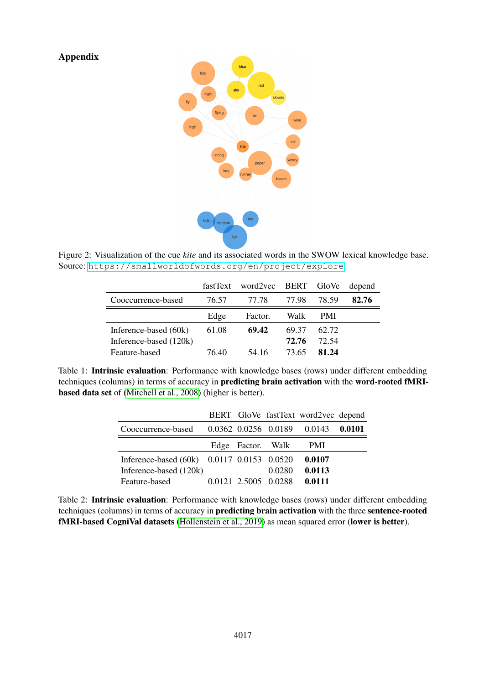Appendix



<span id="page-13-0"></span>Figure 2: Visualization of the cue *kite* and its associated words in the SWOW lexical knowledge base. Source: <https://smallworldofwords.org/en/project/explore>

|                        |       | fastText word2vec BERT GloVe |       |            | depend |
|------------------------|-------|------------------------------|-------|------------|--------|
| Cooccurrence-based     | 76.57 | 77.78                        | 77.98 | 78.59      | 82.76  |
|                        | Edge  | Factor.                      | Walk  | <b>PMI</b> |        |
| Inference-based (60k)  | 61.08 | 69.42                        | 69.37 | 62.72      |        |
| Inference-based (120k) |       |                              | 72.76 | 72.54      |        |
| Feature-based          | 76 40 | 54 16                        | 73.65 | 81.24      |        |

<span id="page-13-1"></span>Table 1: Intrinsic evaluation: Performance with knowledge bases (rows) under different embedding techniques (columns) in terms of accuracy in predicting brain activation with the word-rooted fMRIbased data set of [\(Mitchell et al., 2008\)](#page-11-7) (higher is better).

|                                            |                   |                      | BERT GloVe fastText word2vec depend |  |
|--------------------------------------------|-------------------|----------------------|-------------------------------------|--|
| Cooccurrence-based                         |                   |                      | 0.0362 0.0256 0.0189 0.0143 0.0101  |  |
|                                            | Edge Factor. Walk |                      | - PMI                               |  |
| Inference-based (60k) 0.0117 0.0153 0.0520 |                   |                      | 0.0107                              |  |
| Inference-based (120k)                     |                   | 0.0280               | 0.0113                              |  |
| Feature-based                              |                   | 0.0121 2.5005 0.0288 | 0.0111                              |  |

<span id="page-13-2"></span>Table 2: Intrinsic evaluation: Performance with knowledge bases (rows) under different embedding techniques (columns) in terms of accuracy in predicting brain activation with the three sentence-rooted fMRI-based CogniVal datasets [\(Hollenstein et al., 2019\)](#page-11-14) as mean squared error (lower is better).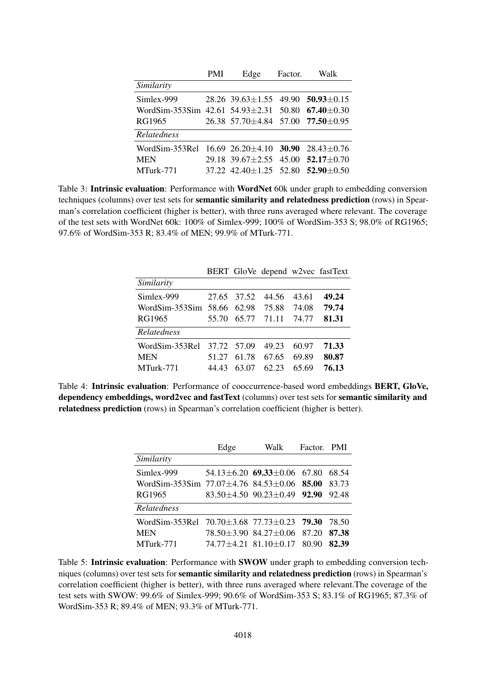|                                                                       | PMI | Edge                                                   | Factor. | Walk |
|-----------------------------------------------------------------------|-----|--------------------------------------------------------|---------|------|
| Similarity                                                            |     |                                                        |         |      |
| Simlex-999                                                            |     | $28.26$ 39.63 $\pm$ 1.55 49.90 <b>50.93</b> $\pm$ 0.15 |         |      |
| WordSim-353Sim 42.61 54.93 $\pm$ 2.31 50.80 67.40 $\pm$ 0.30          |     |                                                        |         |      |
| RG1965                                                                |     | $26.38$ 57.70 $\pm$ 4.84 57.00 <b>77.50</b> $\pm$ 0.95 |         |      |
| Relatedness                                                           |     |                                                        |         |      |
| WordSim-353Rel $16.69$ $26.20 \pm 4.10$ <b>30.90</b> $28.43 \pm 0.76$ |     |                                                        |         |      |
| <b>MEN</b>                                                            |     | 29.18 39.67 $\pm$ 2.55 45.00 <b>52.17</b> $\pm$ 0.70   |         |      |
| MTurk-771                                                             |     | 37.22 $42.40 \pm 1.25$ 52.80 <b>52.90</b> $\pm 0.50$   |         |      |

<span id="page-14-0"></span>Table 3: **Intrinsic evaluation**: Performance with **WordNet** 60k under graph to embedding conversion techniques (columns) over test sets for semantic similarity and relatedness prediction (rows) in Spearman's correlation coefficient (higher is better), with three runs averaged where relevant. The coverage of the test sets with WordNet 60k: 100% of Simlex-999; 100% of WordSim-353 S; 98.0% of RG1965; 97.6% of WordSim-353 R; 83.4% of MEN; 99.9% of MTurk-771.

|       |       | 44.56                                                | 43.61       | 49.24                            |
|-------|-------|------------------------------------------------------|-------------|----------------------------------|
|       | 62.98 | 75.88                                                | 74.08       | 79.74                            |
| 55.70 |       |                                                      | 74.77       | 81.31                            |
|       |       |                                                      |             |                                  |
|       |       | 49.23                                                | 60.97       | 71.33                            |
| 51 27 | 61.78 | 67.65                                                | 69.89       | 80.87                            |
| 44 43 | 63.07 | 62.23                                                | 65.69       | 76.13                            |
|       |       | 27.65 37.52<br>WordSim-353Sim $58.66$<br>37.72 57.09 | 65.77 71.11 | BERT GloVe depend w2vec fastText |

<span id="page-14-1"></span>Table 4: Intrinsic evaluation: Performance of cooccurrence-based word embeddings BERT, GloVe, dependency embeddings, word2vec and fastText (columns) over test sets for semantic similarity and relatedness prediction (rows) in Spearman's correlation coefficient (higher is better).

|                                                               | Edge | Walk                                    | Factor. PMI |       |
|---------------------------------------------------------------|------|-----------------------------------------|-------------|-------|
| Similarity                                                    |      |                                         |             |       |
| Simlex-999                                                    |      | $54.13 \pm 6.20$ 69.33 $\pm 0.06$ 67.80 |             | 68.54 |
| WordSim-353Sim $77.07\pm4.76$ 84.53 $\pm0.06$ 85.00           |      |                                         |             | 83.73 |
| RG1965                                                        |      | $83.50 + 4.50$ 90.23 + 0.49 92.90       |             | 92.48 |
| <b>Relatedness</b>                                            |      |                                         |             |       |
| WordSim-353Rel $70.70 \pm 3.68$ $77.73 \pm 0.23$ <b>79.30</b> |      |                                         |             | 78.50 |
| <b>MEN</b>                                                    |      | 78.50 ± 3.90 84.27 ± 0.06 87.20         |             | 87.38 |
| MTurk-771                                                     |      | $74.77 \pm 4.21$ 81.10 $\pm$ 0.17 80.90 |             | 82.39 |

<span id="page-14-2"></span>Table 5: Intrinsic evaluation: Performance with SWOW under graph to embedding conversion techniques (columns) over test sets for semantic similarity and relatedness prediction (rows) in Spearman's correlation coefficient (higher is better), with three runs averaged where relevant.The coverage of the test sets with SWOW: 99.6% of Simlex-999; 90.6% of WordSim-353 S; 83.1% of RG1965; 87.3% of WordSim-353 R; 89.4% of MEN; 93.3% of MTurk-771.